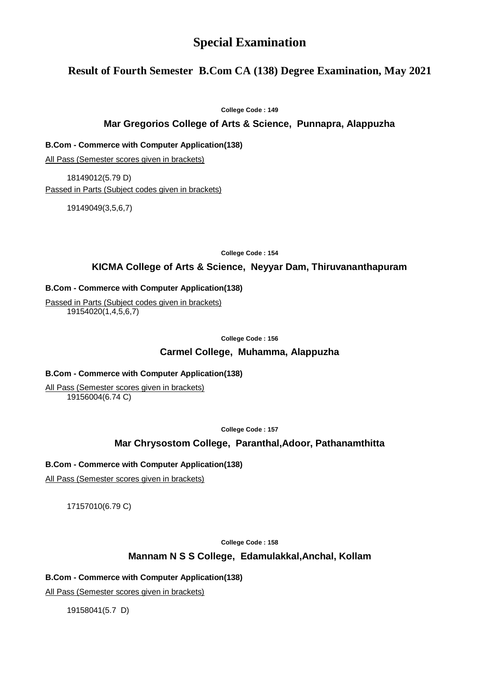# **Special Examination**

# **Result of Fourth Semester B.Com CA (138) Degree Examination, May 2021**

**College Code : 149**

### **Mar Gregorios College of Arts & Science, Punnapra, Alappuzha**

**B.Com - Commerce with Computer Application(138)**

All Pass (Semester scores given in brackets)

18149012(5.79 D) Passed in Parts (Subject codes given in brackets)

19149049(3,5,6,7)

**College Code : 154**

### **KICMA College of Arts & Science, Neyyar Dam, Thiruvananthapuram**

#### **B.Com - Commerce with Computer Application(138)**

Passed in Parts (Subject codes given in brackets) 19154020(1,4,5,6,7)

**College Code : 156**

#### **Carmel College, Muhamma, Alappuzha**

#### **B.Com - Commerce with Computer Application(138)**

All Pass (Semester scores given in brackets) 19156004(6.74 C)

**College Code : 157**

### **Mar Chrysostom College, Paranthal,Adoor, Pathanamthitta**

#### **B.Com - Commerce with Computer Application(138)**

All Pass (Semester scores given in brackets)

17157010(6.79 C)

**College Code : 158**

### **Mannam N S S College, Edamulakkal,Anchal, Kollam**

#### **B.Com - Commerce with Computer Application(138)**

All Pass (Semester scores given in brackets)

19158041(5.7 D)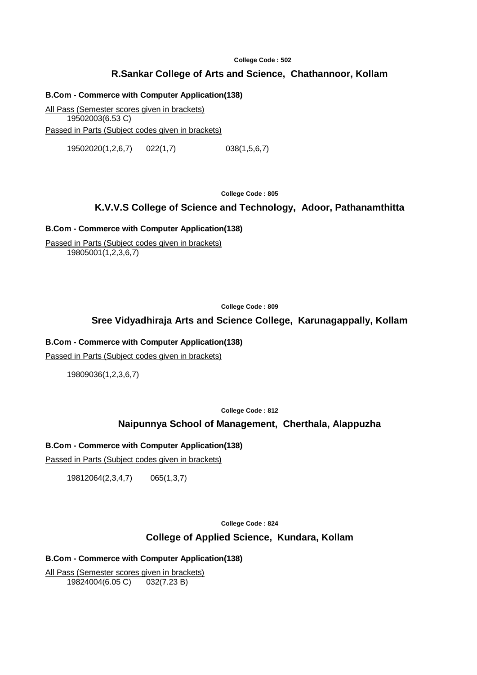**College Code : 502**

# **R.Sankar College of Arts and Science, Chathannoor, Kollam**

#### **B.Com - Commerce with Computer Application(138)**

All Pass (Semester scores given in brackets) 19502003(6.53 C) Passed in Parts (Subject codes given in brackets)

19502020(1,2,6,7) 022(1,7) 038(1,5,6,7)

**College Code : 805**

### **K.V.V.S College of Science and Technology, Adoor, Pathanamthitta**

#### **B.Com - Commerce with Computer Application(138)**

Passed in Parts (Subject codes given in brackets) 19805001(1,2,3,6,7)

**College Code : 809**

### **Sree Vidyadhiraja Arts and Science College, Karunagappally, Kollam**

#### **B.Com - Commerce with Computer Application(138)**

Passed in Parts (Subject codes given in brackets)

19809036(1,2,3,6,7)

**College Code : 812**

### **Naipunnya School of Management, Cherthala, Alappuzha**

### **B.Com - Commerce with Computer Application(138)**

Passed in Parts (Subject codes given in brackets)

19812064(2,3,4,7) 065(1,3,7)

**College Code : 824**

### **College of Applied Science, Kundara, Kollam**

### **B.Com - Commerce with Computer Application(138)**

All Pass (Semester scores given in brackets) 19824004(6.05 C) 032(7.23 B)